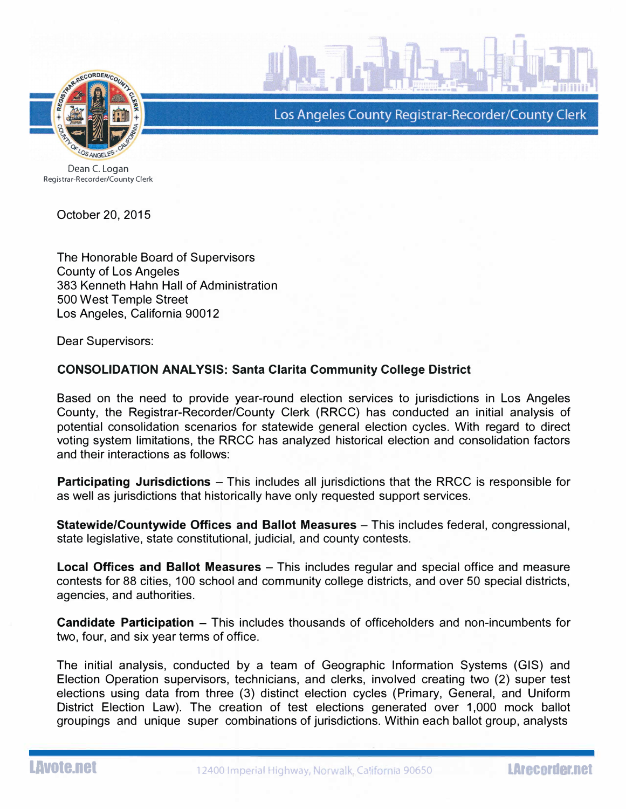

Los Angeles County Registrar-Recorder/County Clerk

Dean C. Logan Registrar-Recorder/County Clerk

October 20, 2015

The Honorable Board of Supervisors County of Los Angeles 383 Kenneth Hahn Hall of Administration 500 West Temple Street Los Angeles, California 90012

Dear Supervisors:

## CONSOLIDATION ANALYSIS: Santa Clarita Community College District

Based on the need to provide year-round election services to jurisdictions in Los Angeles County, the Registrar-Recorder/County Clerk (RRCC) has conducted an initial analysis of potential consolidation scenarios for statewide general election cycles. With regard to direct voting system limitations, the RRCC has analyzed historical election and consolidation factors and their interactions as follows:

Participating Jurisdictions - This includes all jurisdictions that the RRCC is responsible for as well as jurisdictions that historically have only requested support services.

Statewide/Countywide Offices and Ballot Measures – This includes federal, congressional, state legislative, state constitutional, judicial, and county contests.

Local Offices and Ballot Measures - This includes regular and special office and measure contests for 88 cities, 100 school and community college districts, and over 50 special districts, agencies, and authorities.

Candidate Participation - This includes thousands of officeholders and non-incumbents for two, four, and six year terms of office.

The initial analysis, conducted by a team of Geographic Information Systems (GIS) and Election Operation supervisors, technicians, and clerks, involved creating two (2) super test elections using data from three (3) distinct election cycles (Primary, General, and Uniform District Election Law). The creation of test elections generated over 1,000 mock ballot groupings and unique super combinations of jurisdictions. Within each ballot group, analysts